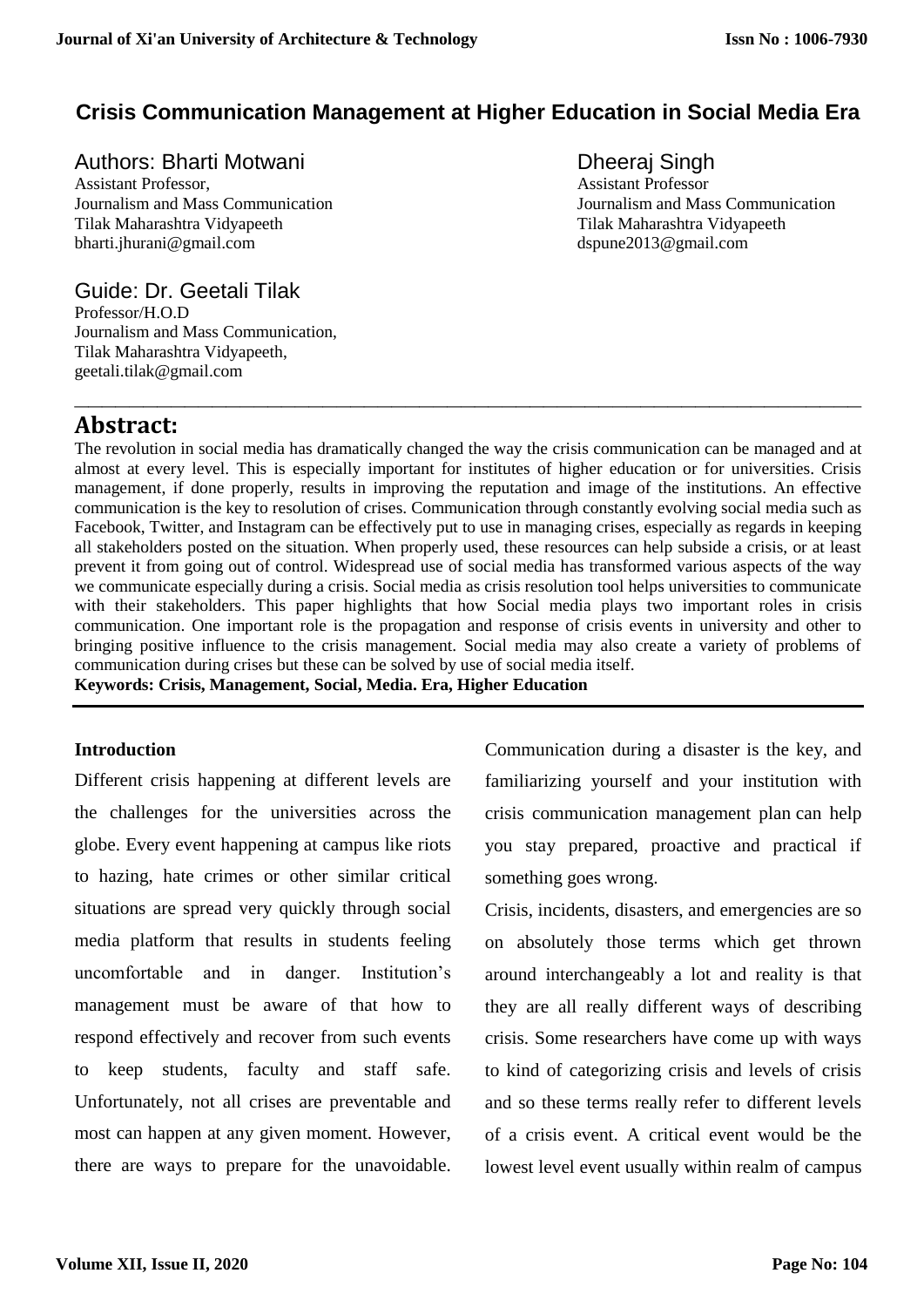# **Crisis Communication Management at Higher Education in Social Media Era**

# Authors: Bharti Motwani **Dheeral** Singh

Assistant Professor, Assistant Professor Tilak Maharashtra Vidyapeeth Tilak Maharashtra Vidyapeeth [bharti.jhurani@gmail.com](mailto:bharti.jhurani@gmail.com) dspune2013@gmail.com dspune2013@gmail.com

Journalism and Mass Communication Journalism and Mass Communication

# Guide: Dr. Geetali Tilak

Professor/H.O.D Journalism and Mass Communication, Tilak Maharashtra Vidyapeeth, geetali.tilak@gmail.com

# **Abstract:**

The revolution in social media has dramatically changed the way the crisis communication can be managed and at almost at every level. This is especially important for institutes of higher education or for universities. Crisis management, if done properly, results in improving the reputation and image of the institutions. An effective communication is the key to resolution of crises. Communication through constantly evolving social media such as Facebook, Twitter, and Instagram can be effectively put to use in managing crises, especially as regards in keeping all stakeholders posted on the situation. When properly used, these resources can help subside a crisis, or at least prevent it from going out of control. Widespread use of social media has transformed various aspects of the way we communicate especially during a crisis. Social media as crisis resolution tool helps universities to communicate with their stakeholders. This paper highlights that how Social media plays two important roles in crisis communication. One important role is the propagation and response of crisis events in university and other to bringing positive influence to the crisis management. Social media may also create a variety of problems of communication during crises but these can be solved by use of social media itself.

**\_\_\_\_\_\_\_\_\_\_\_\_\_\_\_\_\_\_\_\_\_\_\_\_\_\_\_\_\_\_\_\_\_\_\_\_\_\_\_\_\_\_\_\_\_\_\_\_\_\_\_\_\_\_\_\_\_**

**Keywords: Crisis, Management, Social, Media. Era, Higher Education**

# **Introduction**

Different crisis happening at different levels are the challenges for the universities across the globe. Every event happening at campus like riots to hazing, hate crimes or other similar critical situations are spread very quickly through social media platform that results in students feeling uncomfortable and in danger. Institution's management must be aware of that how to respond effectively and recover from such events to keep students, faculty and staff safe. Unfortunately, not all crises are preventable and most can happen at any given moment. However, there are ways to prepare for the unavoidable.

Communication during a disaster is the key, and familiarizing yourself and your institution with [crisis communication management plan](https://www.lexisnexis.com/en-us/products/newsdesk/strategic-reputation-and-media-monitoring-for-universities.page) can help you stay prepared, proactive and practical if something goes wrong.

Crisis, incidents, disasters, and emergencies are so on absolutely those terms which get thrown around interchangeably a lot and reality is that they are all really different ways of describing crisis. Some researchers have come up with ways to kind of categorizing crisis and levels of crisis and so these terms really refer to different levels of a crisis event. A critical event would be the lowest level event usually within realm of campus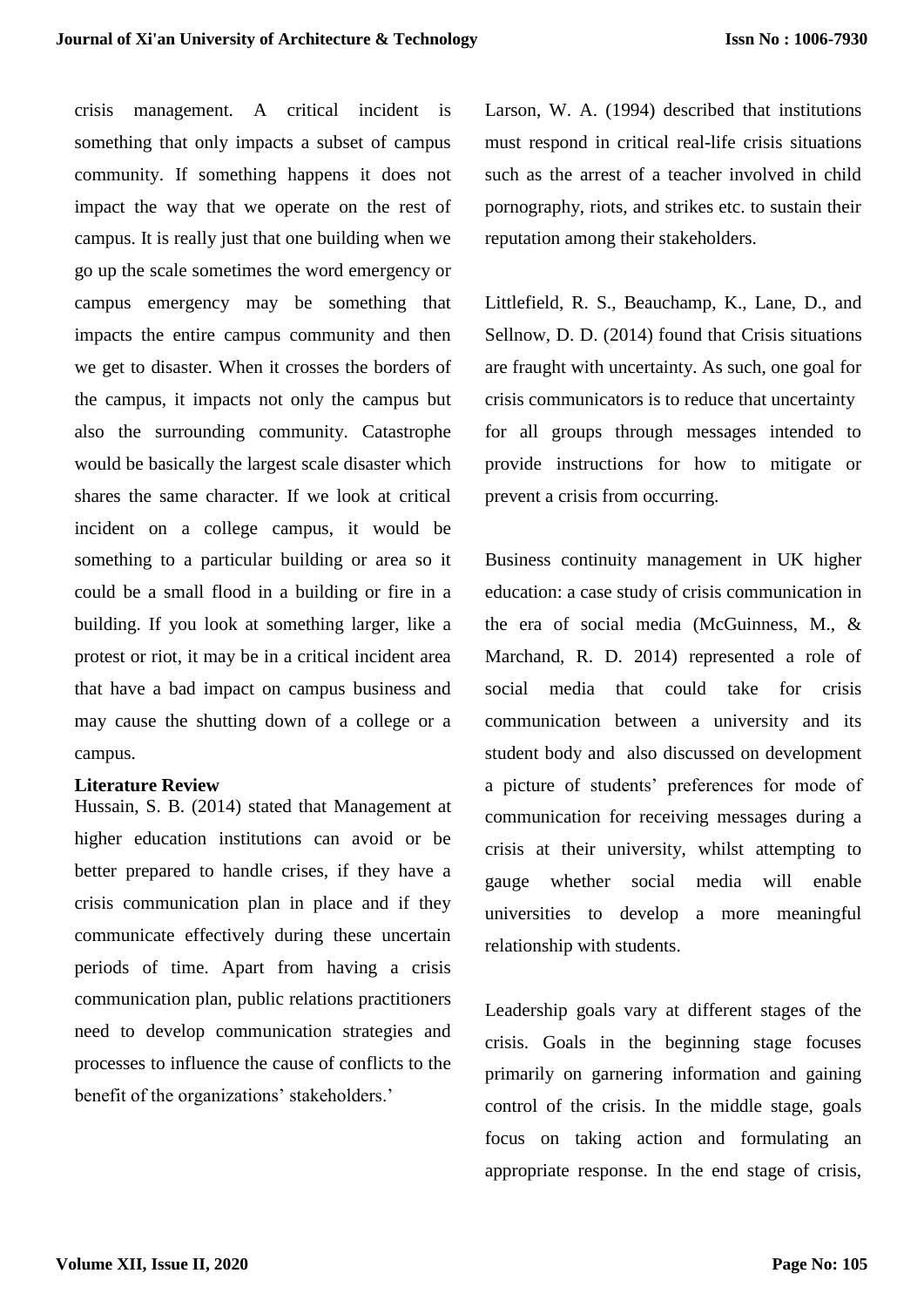crisis management. A critical incident is something that only impacts a subset of campus community. If something happens it does not impact the way that we operate on the rest of campus. It is really just that one building when we go up the scale sometimes the word emergency or campus emergency may be something that impacts the entire campus community and then we get to disaster. When it crosses the borders of the campus, it impacts not only the campus but also the surrounding community. Catastrophe would be basically the largest scale disaster which shares the same character. If we look at critical incident on a college campus, it would be something to a particular building or area so it could be a small flood in a building or fire in a building. If you look at something larger, like a protest or riot, it may be in a critical incident area that have a bad impact on campus business and may cause the shutting down of a college or a campus.

### **Literature Review**

Hussain, S. B. (2014) stated that Management at higher education institutions can avoid or be better prepared to handle crises, if they have a crisis communication plan in place and if they communicate effectively during these uncertain periods of time. Apart from having a crisis communication plan, public relations practitioners need to develop communication strategies and processes to influence the cause of conflicts to the benefit of the organizations' stakeholders.'

Larson, W. A. (1994) described that institutions must respond in critical real-life crisis situations such as the arrest of a teacher involved in child pornography, riots, and strikes etc. to sustain their reputation among their stakeholders.

Littlefield, R. S., Beauchamp, K., Lane, D., and Sellnow, D. D. (2014) found that Crisis situations are fraught with uncertainty. As such, one goal for crisis communicators is to reduce that uncertainty for all groups through messages intended to provide instructions for how to mitigate or prevent a crisis from occurring.

Business continuity management in UK higher education: a case study of crisis communication in the era of social media (McGuinness, M., & Marchand, R. D. 2014) represented a role of social media that could take for crisis communication between a university and its student body and also discussed on development a picture of students' preferences for mode of communication for receiving messages during a crisis at their university, whilst attempting to gauge whether social media will enable universities to develop a more meaningful relationship with students.

Leadership goals vary at different stages of the crisis. Goals in the beginning stage focuses primarily on garnering information and gaining control of the crisis. In the middle stage, goals focus on taking action and formulating an appropriate response. In the end stage of crisis,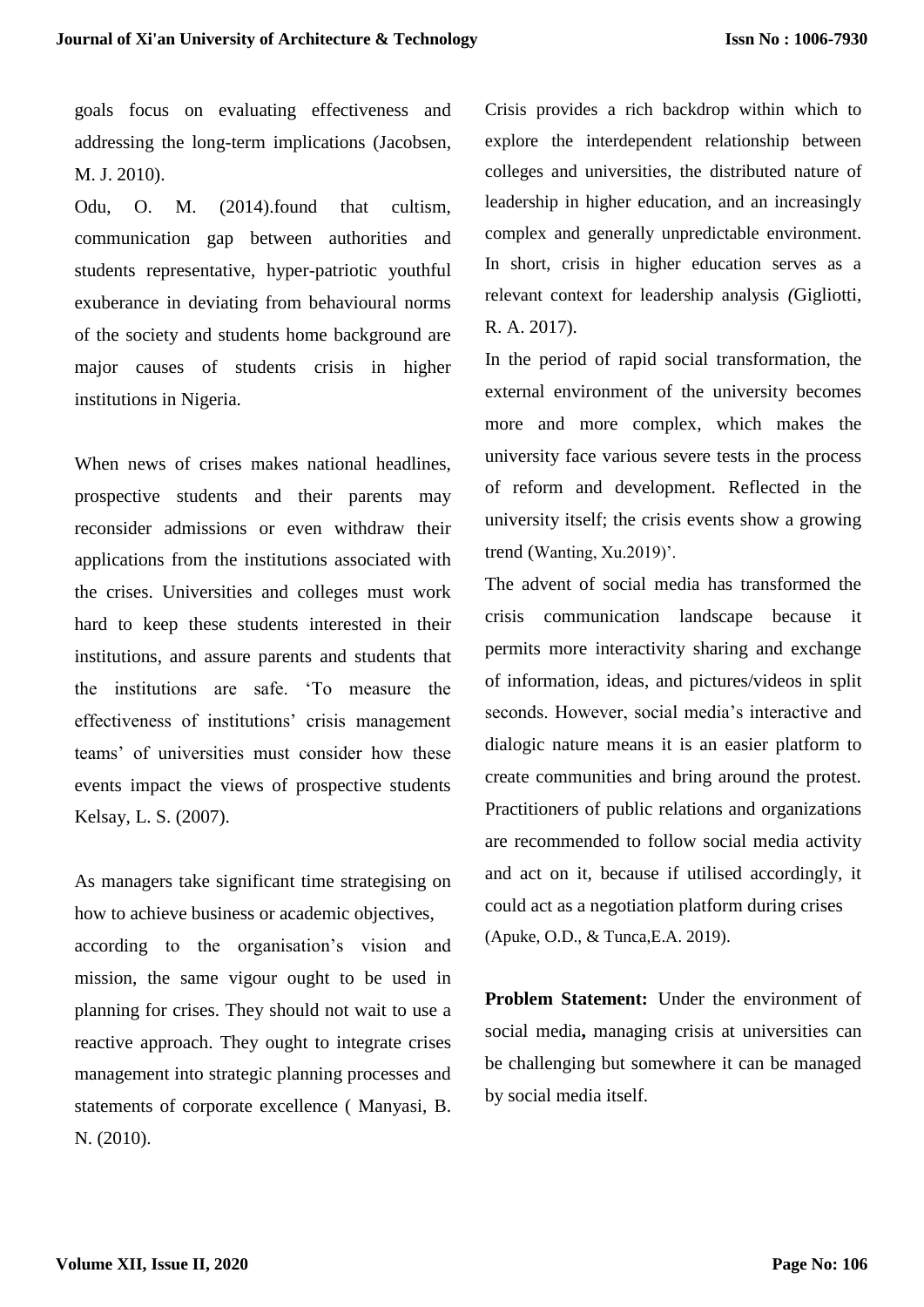goals focus on evaluating effectiveness and addressing the long-term implications (Jacobsen, M. J. 2010).

Odu, O. M. (2014).found that cultism, communication gap between authorities and students representative, hyper-patriotic youthful exuberance in deviating from behavioural norms of the society and students home background are major causes of students crisis in higher institutions in Nigeria.

When news of crises makes national headlines, prospective students and their parents may reconsider admissions or even withdraw their applications from the institutions associated with the crises. Universities and colleges must work hard to keep these students interested in their institutions, and assure parents and students that the institutions are safe. 'To measure the effectiveness of institutions' crisis management teams' of universities must consider how these events impact the views of prospective students Kelsay, L. S. (2007).

As managers take significant time strategising on how to achieve business or academic objectives, according to the organisation's vision and mission, the same vigour ought to be used in planning for crises. They should not wait to use a reactive approach. They ought to integrate crises management into strategic planning processes and statements of corporate excellence ( Manyasi, B. N. (2010).

Crisis provides a rich backdrop within which to explore the interdependent relationship between colleges and universities, the distributed nature of leadership in higher education, and an increasingly complex and generally unpredictable environment. In short, crisis in higher education serves as a relevant context for leadership analysis *(*Gigliotti, R. A. 2017).

In the period of rapid social transformation, the external environment of the university becomes more and more complex, which makes the university face various severe tests in the process of reform and development. Reflected in the university itself; the crisis events show a growing trend (Wanting, Xu.2019)'.

The advent of social media has transformed the crisis communication landscape because it permits more interactivity sharing and exchange of information, ideas, and pictures/videos in split seconds. However, social media's interactive and dialogic nature means it is an easier platform to create communities and bring around the protest. Practitioners of public relations and organizations are recommended to follow social media activity and act on it, because if utilised accordingly, it could act as a negotiation platform during crises (Apuke, O.D., & Tunca,E.A. 2019).

**Problem Statement:** Under the environment of social media**,** managing crisis at universities can be challenging but somewhere it can be managed by social media itself.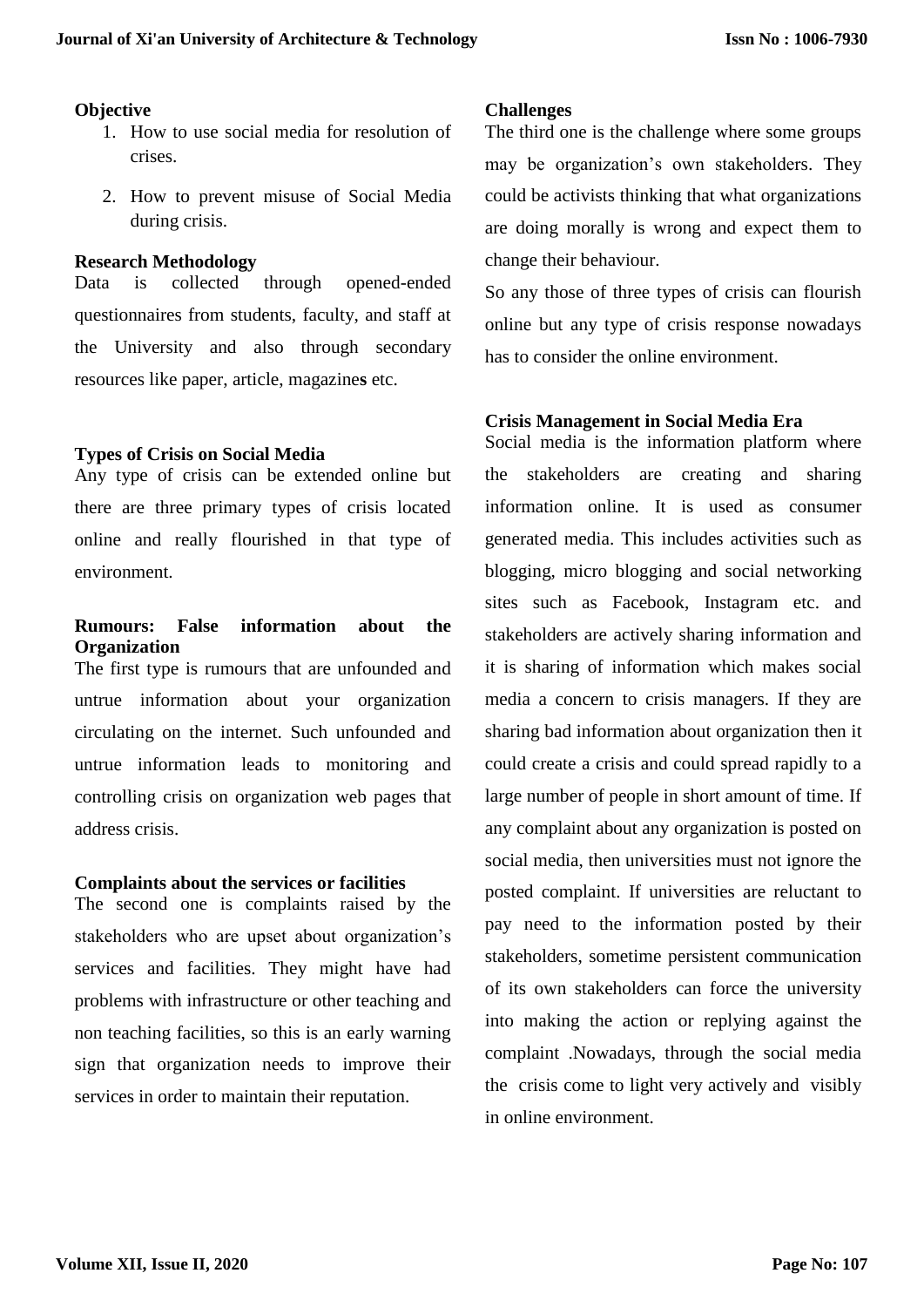## **Objective**

- 1. How to use social media for resolution of crises.
- 2. How to prevent misuse of Social Media during crisis.

## **Research Methodology**

Data is collected through opened-ended questionnaires from students, faculty, and staff at the University and also through secondary resources like paper, article, magazine**s** etc.

## **Types of Crisis on Social Media**

Any type of crisis can be extended online but there are three primary types of crisis located online and really flourished in that type of environment.

# **Rumours: False information about the Organization**

The first type is rumours that are unfounded and untrue information about your organization circulating on the internet. Such unfounded and untrue information leads to monitoring and controlling crisis on organization web pages that address crisis.

## **Complaints about the services or facilities**

The second one is complaints raised by the stakeholders who are upset about organization's services and facilities. They might have had problems with infrastructure or other teaching and non teaching facilities, so this is an early warning sign that organization needs to improve their services in order to maintain their reputation.

## **Challenges**

The third one is the challenge where some groups may be organization's own stakeholders. They could be activists thinking that what organizations are doing morally is wrong and expect them to change their behaviour.

So any those of three types of crisis can flourish online but any type of crisis response nowadays has to consider the online environment.

## **Crisis Management in Social Media Era**

Social media is the information platform where the stakeholders are creating and sharing information online. It is used as consumer generated media. This includes activities such as blogging, micro blogging and social networking sites such as Facebook, Instagram etc. and stakeholders are actively sharing information and it is sharing of information which makes social media a concern to crisis managers. If they are sharing bad information about organization then it could create a crisis and could spread rapidly to a large number of people in short amount of time. If any complaint about any organization is posted on social media, then universities must not ignore the posted complaint. If universities are reluctant to pay need to the information posted by their stakeholders, sometime persistent communication of its own stakeholders can force the university into making the action or replying against the complaint .Nowadays, through the social media the crisis come to light very actively and visibly in online environment.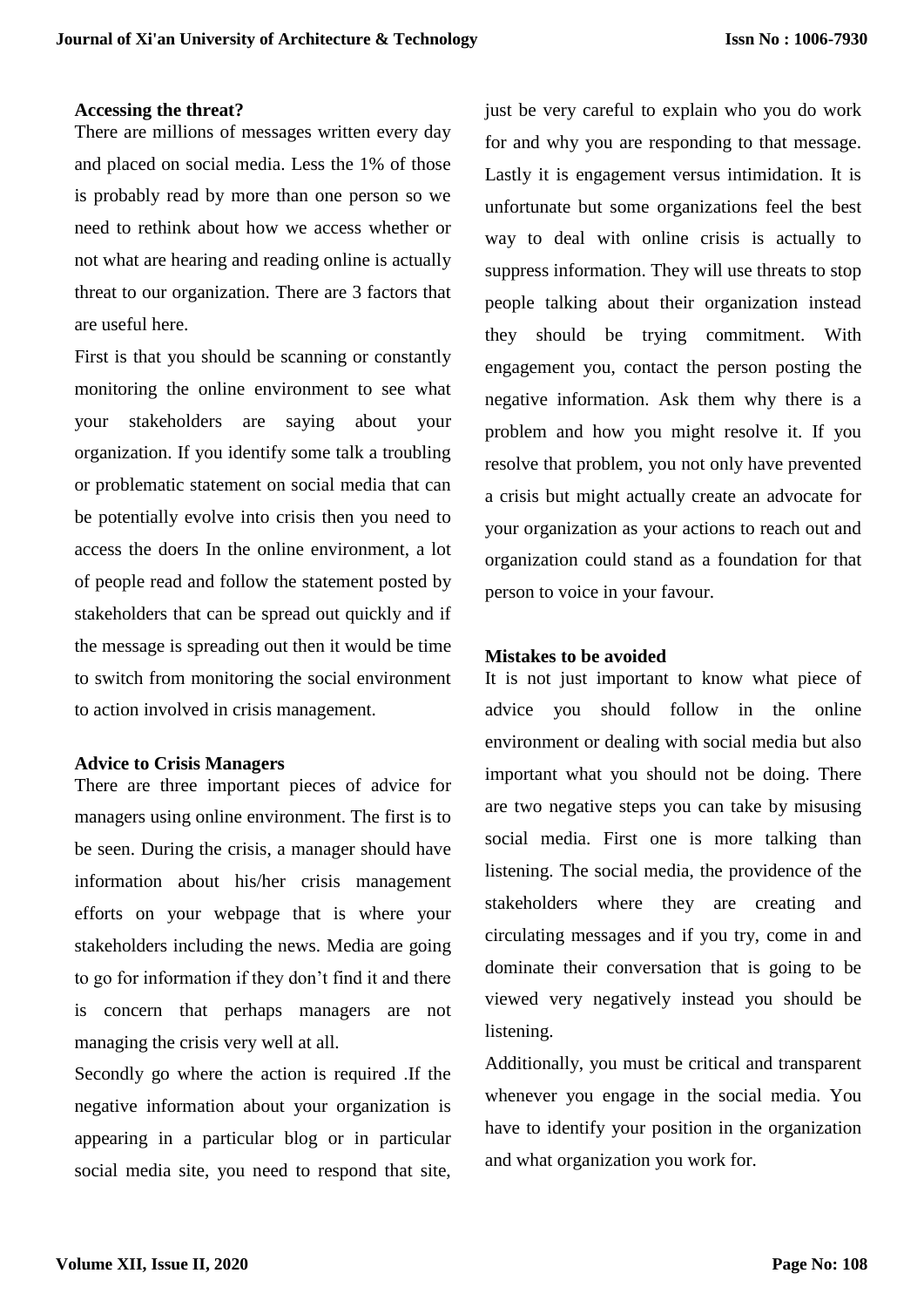#### **Accessing the threat?**

There are millions of messages written every day and placed on social media. Less the 1% of those is probably read by more than one person so we need to rethink about how we access whether or not what are hearing and reading online is actually threat to our organization. There are 3 factors that are useful here.

First is that you should be scanning or constantly monitoring the online environment to see what your stakeholders are saying about your organization. If you identify some talk a troubling or problematic statement on social media that can be potentially evolve into crisis then you need to access the doers In the online environment, a lot of people read and follow the statement posted by stakeholders that can be spread out quickly and if the message is spreading out then it would be time to switch from monitoring the social environment to action involved in crisis management.

### **Advice to Crisis Managers**

There are three important pieces of advice for managers using online environment. The first is to be seen. During the crisis, a manager should have information about his/her crisis management efforts on your webpage that is where your stakeholders including the news. Media are going to go for information if they don't find it and there is concern that perhaps managers are not managing the crisis very well at all.

Secondly go where the action is required .If the negative information about your organization is appearing in a particular blog or in particular social media site, you need to respond that site, just be very careful to explain who you do work for and why you are responding to that message. Lastly it is engagement versus intimidation. It is unfortunate but some organizations feel the best way to deal with online crisis is actually to suppress information. They will use threats to stop people talking about their organization instead they should be trying commitment. With engagement you, contact the person posting the negative information. Ask them why there is a problem and how you might resolve it. If you resolve that problem, you not only have prevented a crisis but might actually create an advocate for your organization as your actions to reach out and organization could stand as a foundation for that person to voice in your favour.

### **Mistakes to be avoided**

It is not just important to know what piece of advice you should follow in the online environment or dealing with social media but also important what you should not be doing. There are two negative steps you can take by misusing social media. First one is more talking than listening. The social media, the providence of the stakeholders where they are creating and circulating messages and if you try, come in and dominate their conversation that is going to be viewed very negatively instead you should be listening.

Additionally, you must be critical and transparent whenever you engage in the social media. You have to identify your position in the organization and what organization you work for.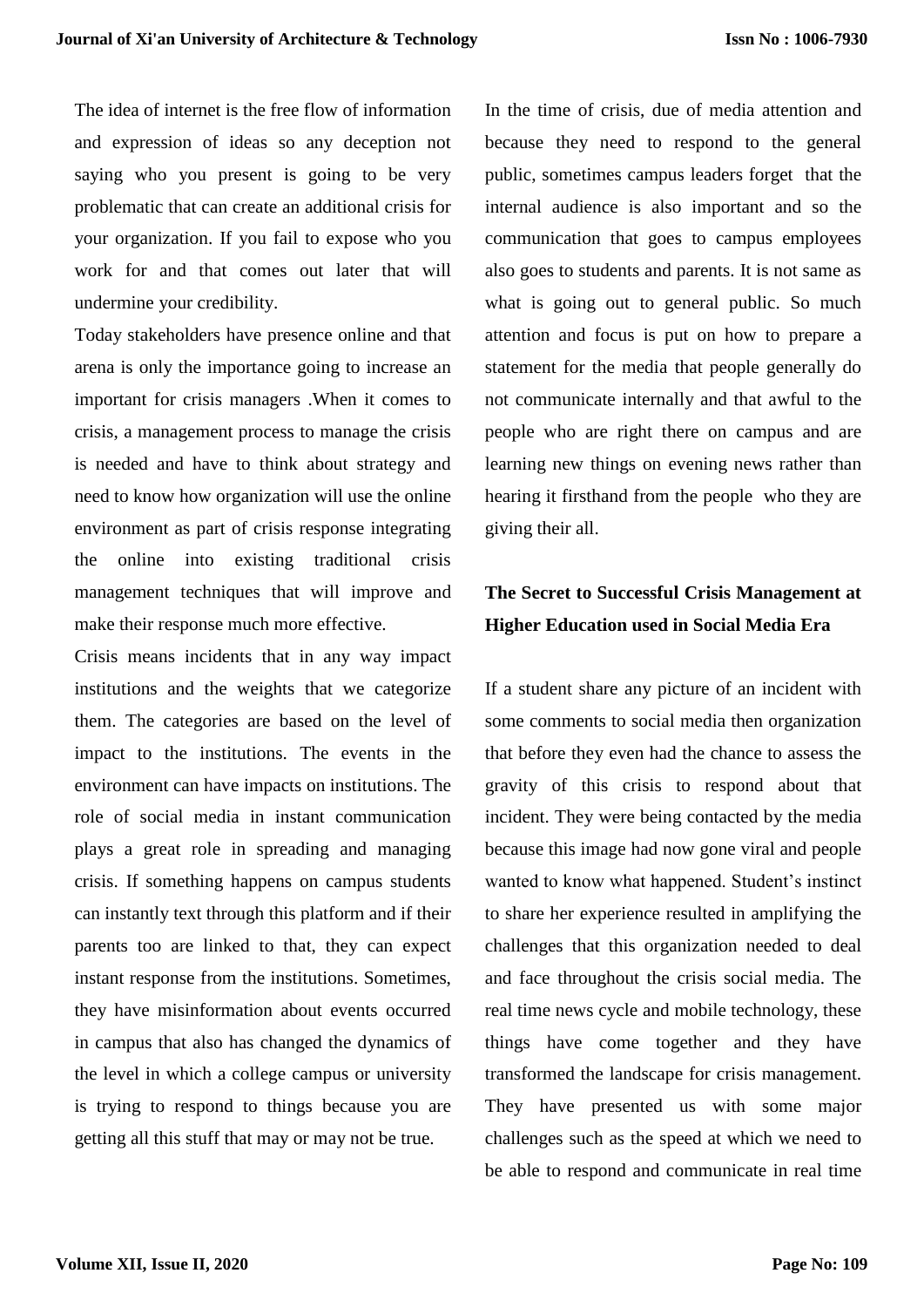The idea of internet is the free flow of information and expression of ideas so any deception not saying who you present is going to be very problematic that can create an additional crisis for your organization. If you fail to expose who you work for and that comes out later that will undermine your credibility.

Today stakeholders have presence online and that arena is only the importance going to increase an important for crisis managers .When it comes to crisis, a management process to manage the crisis is needed and have to think about strategy and need to know how organization will use the online environment as part of crisis response integrating the online into existing traditional crisis management techniques that will improve and make their response much more effective.

Crisis means incidents that in any way impact institutions and the weights that we categorize them. The categories are based on the level of impact to the institutions. The events in the environment can have impacts on institutions. The role of social media in instant communication plays a great role in spreading and managing crisis. If something happens on campus students can instantly text through this platform and if their parents too are linked to that, they can expect instant response from the institutions. Sometimes, they have misinformation about events occurred in campus that also has changed the dynamics of the level in which a college campus or university is trying to respond to things because you are getting all this stuff that may or may not be true.

In the time of crisis, due of media attention and because they need to respond to the general public, sometimes campus leaders forget that the internal audience is also important and so the communication that goes to campus employees also goes to students and parents. It is not same as what is going out to general public. So much attention and focus is put on how to prepare a statement for the media that people generally do not communicate internally and that awful to the people who are right there on campus and are learning new things on evening news rather than hearing it firsthand from the people who they are giving their all.

# **The Secret to Successful Crisis Management at Higher Education used in Social Media Era**

If a student share any picture of an incident with some comments to social media then organization that before they even had the chance to assess the gravity of this crisis to respond about that incident. They were being contacted by the media because this image had now gone viral and people wanted to know what happened. Student's instinct to share her experience resulted in amplifying the challenges that this organization needed to deal and face throughout the crisis social media. The real time news cycle and mobile technology, these things have come together and they have transformed the landscape for crisis management. They have presented us with some major challenges such as the speed at which we need to be able to respond and communicate in real time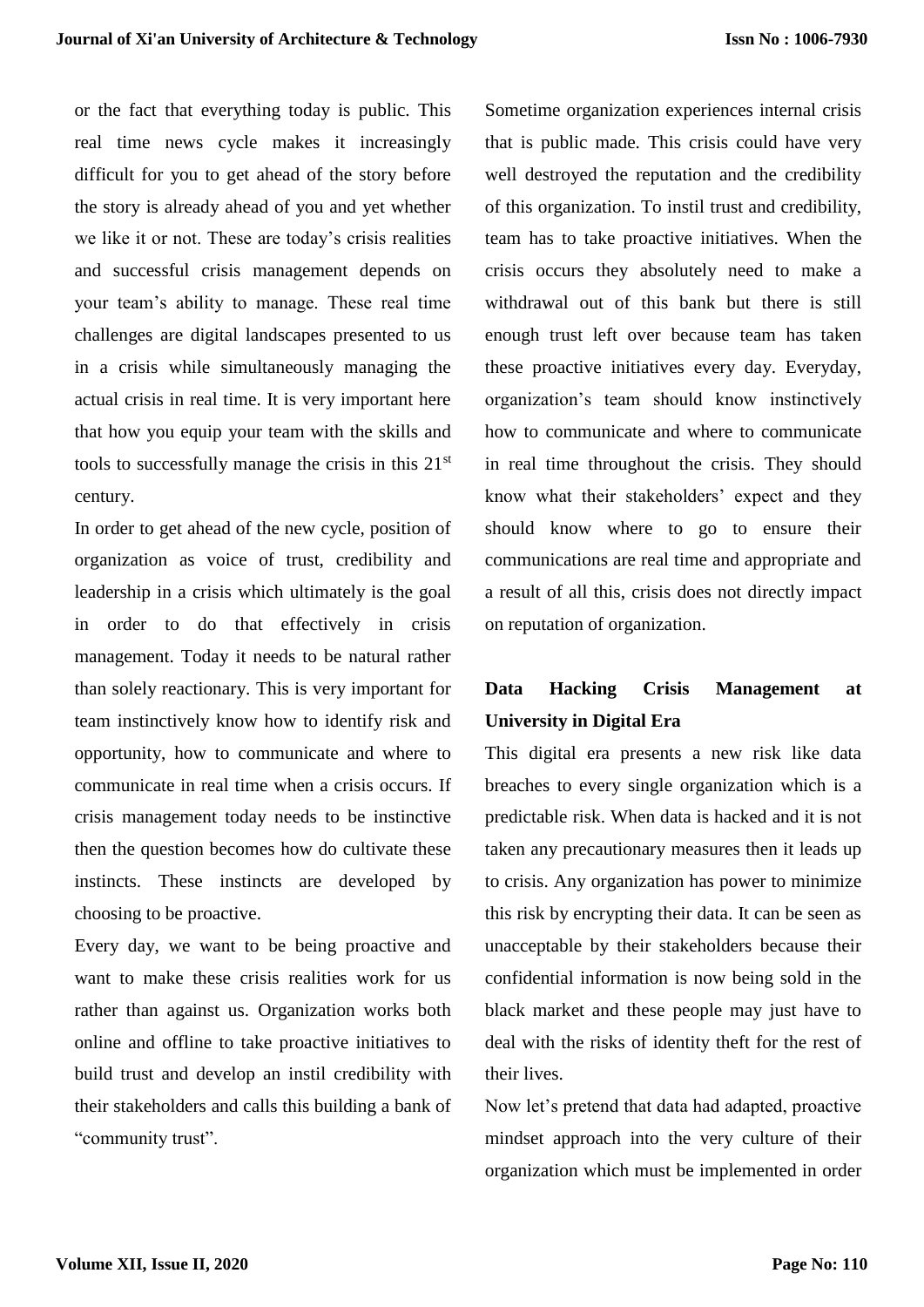or the fact that everything today is public. This real time news cycle makes it increasingly difficult for you to get ahead of the story before the story is already ahead of you and yet whether we like it or not. These are today's crisis realities and successful crisis management depends on your team's ability to manage. These real time challenges are digital landscapes presented to us in a crisis while simultaneously managing the actual crisis in real time. It is very important here that how you equip your team with the skills and tools to successfully manage the crisis in this 21st century.

In order to get ahead of the new cycle, position of organization as voice of trust, credibility and leadership in a crisis which ultimately is the goal in order to do that effectively in crisis management. Today it needs to be natural rather than solely reactionary. This is very important for team instinctively know how to identify risk and opportunity, how to communicate and where to communicate in real time when a crisis occurs. If crisis management today needs to be instinctive then the question becomes how do cultivate these instincts. These instincts are developed by choosing to be proactive.

Every day, we want to be being proactive and want to make these crisis realities work for us rather than against us. Organization works both online and offline to take proactive initiatives to build trust and develop an instil credibility with their stakeholders and calls this building a bank of "community trust".

Sometime organization experiences internal crisis that is public made. This crisis could have very well destroyed the reputation and the credibility of this organization. To instil trust and credibility, team has to take proactive initiatives. When the crisis occurs they absolutely need to make a withdrawal out of this bank but there is still enough trust left over because team has taken these proactive initiatives every day. Everyday, organization's team should know instinctively how to communicate and where to communicate in real time throughout the crisis. They should know what their stakeholders' expect and they should know where to go to ensure their communications are real time and appropriate and a result of all this, crisis does not directly impact on reputation of organization.

# **Data Hacking Crisis Management at University in Digital Era**

This digital era presents a new risk like data breaches to every single organization which is a predictable risk. When data is hacked and it is not taken any precautionary measures then it leads up to crisis. Any organization has power to minimize this risk by encrypting their data. It can be seen as unacceptable by their stakeholders because their confidential information is now being sold in the black market and these people may just have to deal with the risks of identity theft for the rest of their lives.

Now let's pretend that data had adapted, proactive mindset approach into the very culture of their organization which must be implemented in order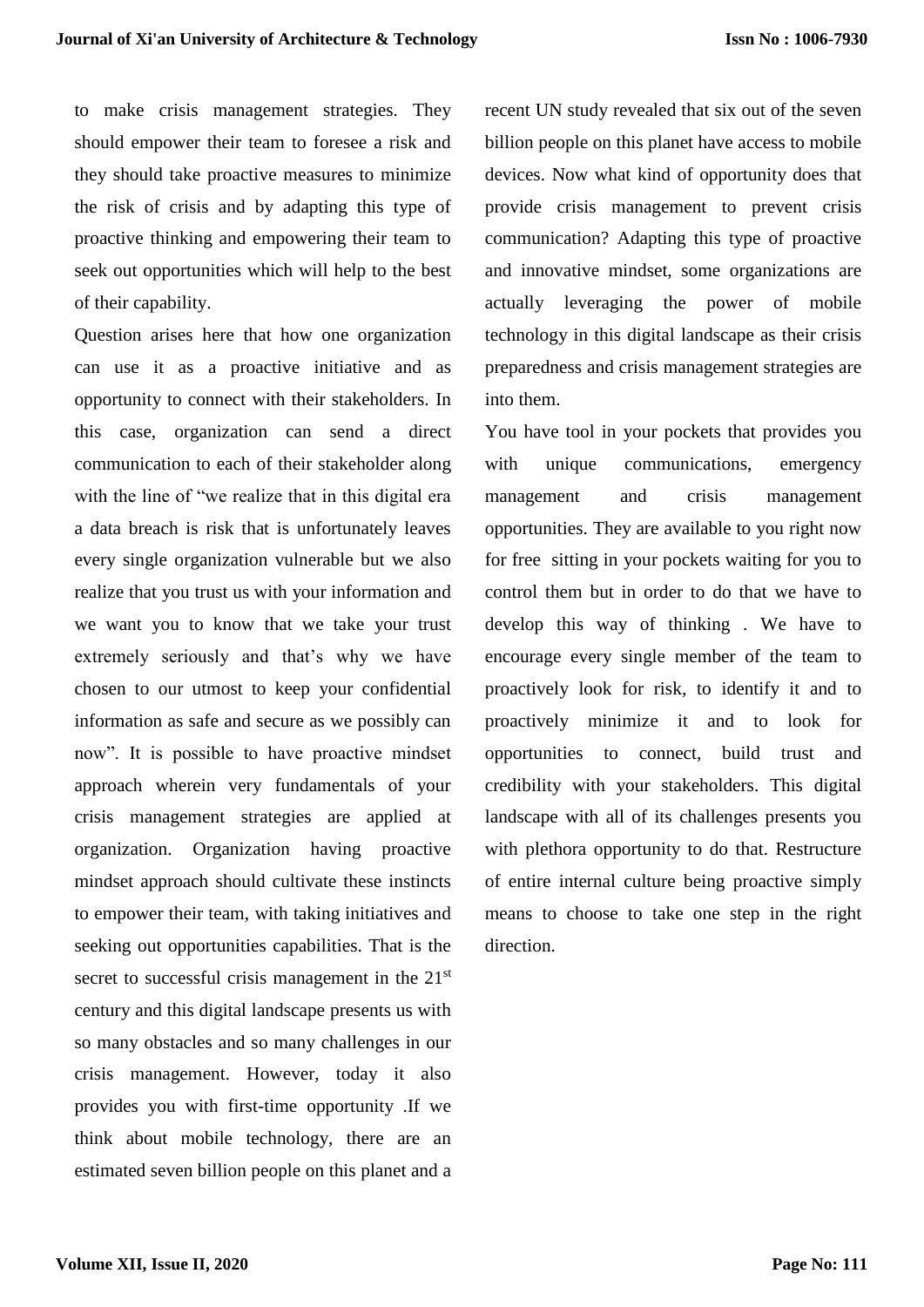to make crisis management strategies. They should empower their team to foresee a risk and they should take proactive measures to minimize the risk of crisis and by adapting this type of proactive thinking and empowering their team to seek out opportunities which will help to the best of their capability.

Question arises here that how one organization can use it as a proactive initiative and as opportunity to connect with their stakeholders. In this case, organization can send a direct communication to each of their stakeholder along with the line of "we realize that in this digital era a data breach is risk that is unfortunately leaves every single organization vulnerable but we also realize that you trust us with your information and we want you to know that we take your trust extremely seriously and that's why we have chosen to our utmost to keep your confidential information as safe and secure as we possibly can now". It is possible to have proactive mindset approach wherein very fundamentals of your crisis management strategies are applied at organization. Organization having proactive mindset approach should cultivate these instincts to empower their team, with taking initiatives and seeking out opportunities capabilities. That is the secret to successful crisis management in the 21<sup>st</sup> century and this digital landscape presents us with so many obstacles and so many challenges in our crisis management. However, today it also provides you with first-time opportunity .If we think about mobile technology, there are an estimated seven billion people on this planet and a

recent UN study revealed that six out of the seven billion people on this planet have access to mobile devices. Now what kind of opportunity does that provide crisis management to prevent crisis communication? Adapting this type of proactive and innovative mindset, some organizations are actually leveraging the power of mobile technology in this digital landscape as their crisis preparedness and crisis management strategies are into them.

You have tool in your pockets that provides you with unique communications, emergency management and crisis management opportunities. They are available to you right now for free sitting in your pockets waiting for you to control them but in order to do that we have to develop this way of thinking . We have to encourage every single member of the team to proactively look for risk, to identify it and to proactively minimize it and to look for opportunities to connect, build trust and credibility with your stakeholders. This digital landscape with all of its challenges presents you with plethora opportunity to do that. Restructure of entire internal culture being proactive simply means to choose to take one step in the right direction.